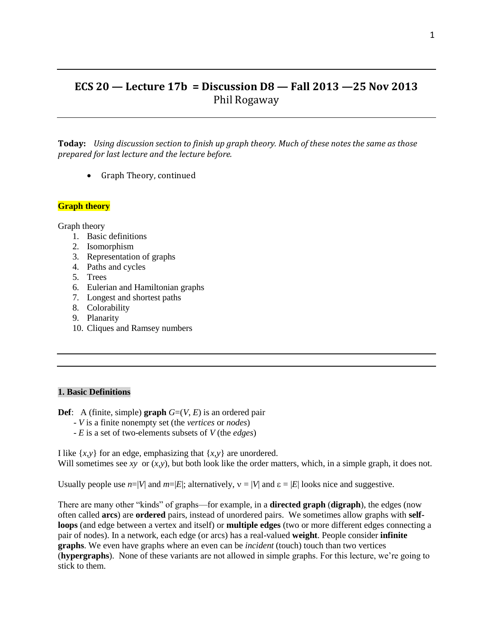# **ECS 20 — Lecture 17b = Discussion D8 — Fall 2013 —25 Nov 2013** Phil Rogaway

**Today:** *Using discussion section to finish up graph theory. Much of these notes the same as those prepared for last lecture and the lecture before.*

• Graph Theory, continued

### **Graph theory**

Graph theory

- 1. Basic definitions
- 2. Isomorphism
- 3. Representation of graphs
- 4. Paths and cycles
- 5. Trees
- 6. Eulerian and Hamiltonian graphs
- 7. Longest and shortest paths
- 8. Colorability
- 9. Planarity
- 10. Cliques and Ramsey numbers

### **1. Basic Definitions**

**Def**: A (finite, simple) **graph**  $G=(V, E)$  is an ordered pair

- *V* is a finite nonempty set (the *vertices* or *nodes*)
- *E* is a set of two-elements subsets of *V* (the *edges*)

I like  $\{x, y\}$  for an edge, emphasizing that  $\{x, y\}$  are unordered. Will sometimes see *xy* or  $(x, y)$ , but both look like the order matters, which, in a simple graph, it does not.

Usually people use  $n=|V|$  and  $m=|E|$ ; alternatively,  $v=|V|$  and  $\varepsilon=|E|$  looks nice and suggestive.

There are many other "kinds" of graphs—for example, in a **directed graph** (**digraph**), the edges (now often called **arcs**) are **ordered** pairs, instead of unordered pairs. We sometimes allow graphs with **selfloops** (and edge between a vertex and itself) or **multiple edges** (two or more different edges connecting a pair of nodes). In a network, each edge (or arcs) has a real-valued **weight**. People consider **infinite graphs**. We even have graphs where an even can be *incident* (touch) touch than two vertices (**hypergraphs**). None of these variants are not allowed in simple graphs. For this lecture, we're going to stick to them.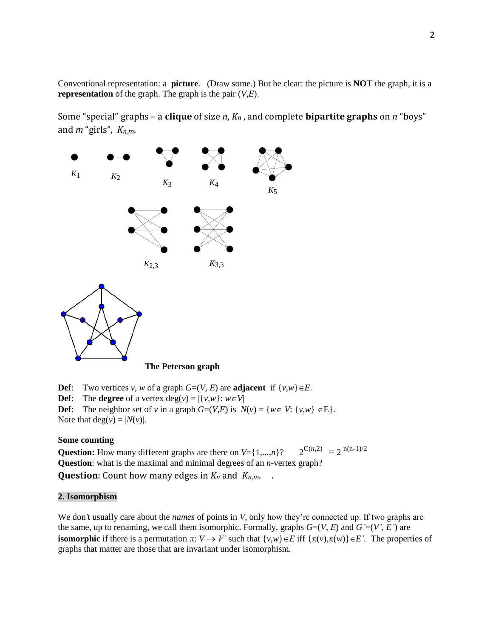Conventional representation: a **picture**. (Draw some.) But be clear: the picture is **NOT** the graph, it is a **representation** of the graph. The graph is the pair (*V*,*E*).

Some "special" graphs – a **clique** of size *n*, *Kn* , and complete **bipartite graphs** on *n* "boys" and *m* "girls", *Kn,m*.



### **The Peterson graph**

**Def**: Two vertices *v*, *w* of a graph  $G=(V, E)$  are **adjacent** if  $\{v, w\} \in E$ . **Def**: The **degree** of a vertex  $deg(v) = |\{v, w\} : w \in V|$ **Def**: The neighbor set of *v* in a graph  $G=(V,E)$  is  $N(v) = \{w \in V: \{v,w\} \in E\}.$ Note that  $deg(v) = |N(v)|$ .

### **Some counting**

**Question:** How many different graphs are there on  $V = \{1,...,n\}$ ?  $2^{C(n,2)} = 2^{n(n-1)/2}$ **Question**: what is the maximal and minimal degrees of an *n*-vertex graph? **Question**: Count how many edges in  $K_n$  and  $K_{n,m}$ .

# **2. Isomorphism**

We don*'*t usually care about the *names* of points in *V*, only how they're connected up. If two graphs are the same, up to renaming, we call them isomorphic. Formally, graphs  $G=(V, E)$  and  $G'=(V', E')$  are **isomorphic** if there is a permutation  $\pi: V \to V'$  such that  $\{v,w\} \in E$  iff  $\{\pi(v), \pi(w)\} \in E'$ . The properties of graphs that matter are those that are invariant under isomorphism*.*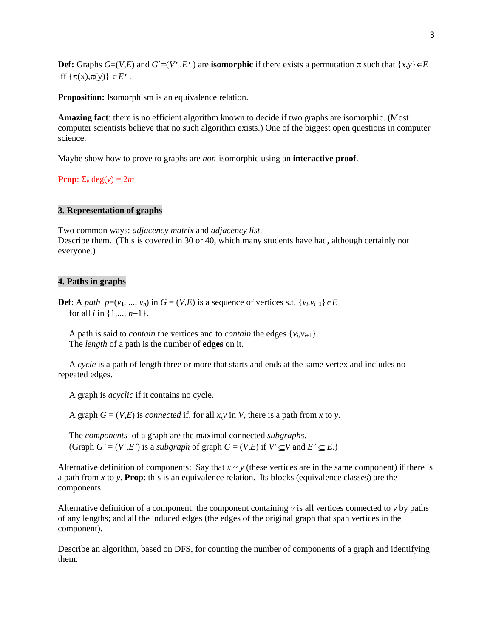**Def:** Graphs  $G=(V,E)$  and  $G'=(V',E')$  are **isomorphic** if there exists a permutation  $\pi$  such that  $\{x,y\} \in E$ iff  $\{\pi(x), \pi(y)\}\in E'$ .

**Proposition:** Isomorphism is an equivalence relation.

**Amazing fact**: there is no efficient algorithm known to decide if two graphs are isomorphic. (Most computer scientists believe that no such algorithm exists.) One of the biggest open questions in computer science.

Maybe show how to prove to graphs are *non*-isomorphic using an **interactive proof**.

**Prop**:  $\Sigma_v$  deg(*v*) = 2*m* 

#### **3. Representation of graphs**

Two common ways: *adjacency matrix* and *adjacency list*. Describe them. (This is covered in 30 or 40, which many students have had, although certainly not everyone.)

#### **4. Paths in graphs**

**Def**: A *path*  $p=(v_1, ..., v_n)$  in  $G = (V,E)$  is a sequence of vertices s.t.  $\{v_i, v_{i+1}\}\in E$ for all *i* in  $\{1, ..., n-1\}$ .

A path is said to *contain* the vertices and to *contain* the edges  $\{v_i, v_{i+1}\}$ . The *length* of a path is the number of **edges** on it.

 A *cycle* is a path of length three or more that starts and ends at the same vertex and includes no repeated edges.

A graph is *acyclic* if it contains no cycle.

A graph  $G = (V,E)$  is *connected* if, for all *x*, *y* in *V*, there is a path from *x* to *y*.

 The *components* of a graph are the maximal connected *subgraphs*. (Graph  $G' = (V', E')$  is a *subgraph* of graph  $G = (V, E)$  if  $V' \subseteq V$  and  $E' \subseteq E$ .)

Alternative definition of components: Say that  $x \sim y$  (these vertices are in the same component) if there is a path from *x* to *y*. **Prop**: this is an equivalence relation. Its blocks (equivalence classes) are the components.

Alternative definition of a component: the component containing  $\nu$  is all vertices connected to  $\nu$  by paths of any lengths; and all the induced edges (the edges of the original graph that span vertices in the component).

Describe an algorithm, based on DFS, for counting the number of components of a graph and identifying them.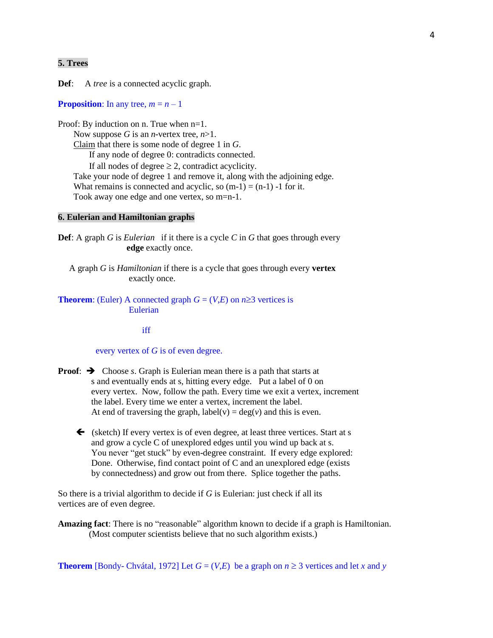# **5. Trees**

**Def**: A *tree* is a connected acyclic graph.

**Proposition**: In any tree,  $m = n - 1$ 

Proof: By induction on n. True when  $n=1$ . Now suppose *G* is an *n*-vertex tree, *n*>1. Claim that there is some node of degree 1 in *G*. If any node of degree 0: contradicts connected. If all nodes of degree  $\geq 2$ , contradict acyclicity. Take your node of degree 1 and remove it, along with the adjoining edge. What remains is connected and acyclic, so  $(m-1) = (n-1) -1$  for it. Took away one edge and one vertex, so m=n-1.

## **6. Eulerian and Hamiltonian graphs**

**Def**: A graph *G* is *Eulerian* if it there is a cycle *C* in *G* that goes through every **edge** exactly once.

 A graph *G* is *Hamiltonian* if there is a cycle that goes through every **vertex** exactly once.

**Theorem**: (Euler) A connected graph  $G = (V,E)$  on  $n \ge 3$  vertices is Eulerian

iff is a state of the state of the state of the state of the state of the state of the state of the state of the state of the state of the state of the state of the state of the state of the state of the state of the state

#### every vertex of *G* is of even degree.

- **Proof:**  $\rightarrow$  Choose *s*. Graph is Eulerian mean there is a path that starts at s and eventually ends at s, hitting every edge. Put a label of 0 on every vertex. Now, follow the path. Every time we exit a vertex, increment the label. Every time we enter a vertex, increment the label. At end of traversing the graph,  $label(v) = deg(v)$  and this is even.
	- $\blacklozenge$  (sketch) If every vertex is of even degree, at least three vertices. Start at s and grow a cycle C of unexplored edges until you wind up back at s. You never "get stuck" by even-degree constraint. If every edge explored: Done. Otherwise, find contact point of C and an unexplored edge (exists by connectedness) and grow out from there. Splice together the paths.

So there is a trivial algorithm to decide if *G* is Eulerian: just check if all its vertices are of even degree.

**Amazing fact**: There is no "reasonable" algorithm known to decide if a graph is Hamiltonian. (Most computer scientists believe that no such algorithm exists.)

**Theorem** [Bondy- Chvátal, 1972] Let  $G = (V,E)$  be a graph on  $n \ge 3$  vertices and let *x* and *y*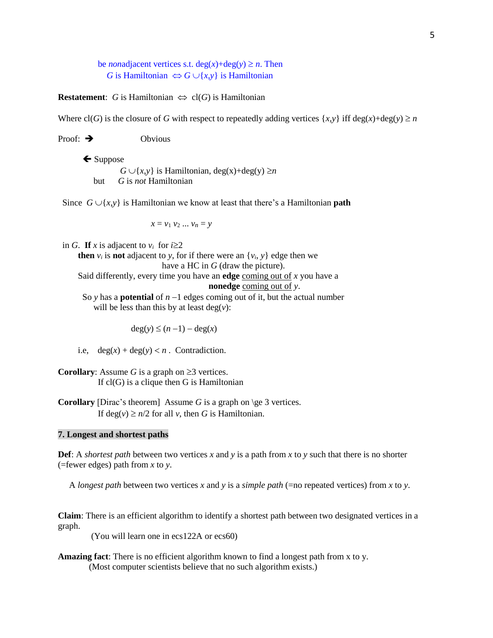be *non*adjacent vertices s.t.  $deg(x) + deg(y) \ge n$ . Then *G* is Hamiltonian  $\Leftrightarrow$  *G*  $\cup$ {*x*,*y*} is Hamiltonian

**Restatement**: *G* is Hamiltonian  $\Leftrightarrow$  cl(*G*) is Hamiltonian

Where  $cl(G)$  is the closure of *G* with respect to repeatedly adding vertices  $\{x, y\}$  iff deg(*x*)+deg(*y*)  $\geq n$ 

Proof:  $\rightarrow$  Obvious

 $\leftarrow$  Suppose  $G \cup \{x,y\}$  is Hamiltonian, deg(x)+deg(y)  $\geq n$ but *G* is *not* Hamiltonian

Since  $G \cup \{x,y\}$  is Hamiltonian we know at least that there's a Hamiltonian **path** 

 $x = v_1 v_2 ... v_n = y$ 

in *G*. If *x* is adjacent to  $v_i$  for  $i \ge 2$ 

**then**  $v_i$  is **not** adjacent to *y*, for if there were an  $\{v_i, y\}$  edge then we have a HC in *G* (draw the picture).

 Said differently, every time you have an **edge** coming out of *x* you have a **nonedge** coming out of *y*.

So *y* has a **potential** of  $n-1$  edges coming out of it, but the actual number will be less than this by at least  $deg(v)$ :

 $deg(y) \leq (n-1) - deg(x)$ 

i.e,  $deg(x) + deg(y) < n$ . Contradiction.

**Corollary:** Assume *G* is a graph on  $\geq 3$  vertices. If  $cl(G)$  is a clique then G is Hamiltonian

**Corollary** [Dirac's theorem] Assume *G* is a graph on \ge 3 vertices. If deg(*v*)  $\geq n/2$  for all *v*, then *G* is Hamiltonian.

# **7. Longest and shortest paths**

**Def**: A *shortest path* between two vertices *x* and *y* is a path from *x* to *y* such that there is no shorter (=fewer edges) path from *x* to *y*.

A *longest path* between two vertices *x* and *y* is a *simple path* (=no repeated vertices) from *x* to *y*.

**Claim**: There is an efficient algorithm to identify a shortest path between two designated vertices in a graph.

(You will learn one in ecs122A or ecs60)

**Amazing fact**: There is no efficient algorithm known to find a longest path from x to y. (Most computer scientists believe that no such algorithm exists.)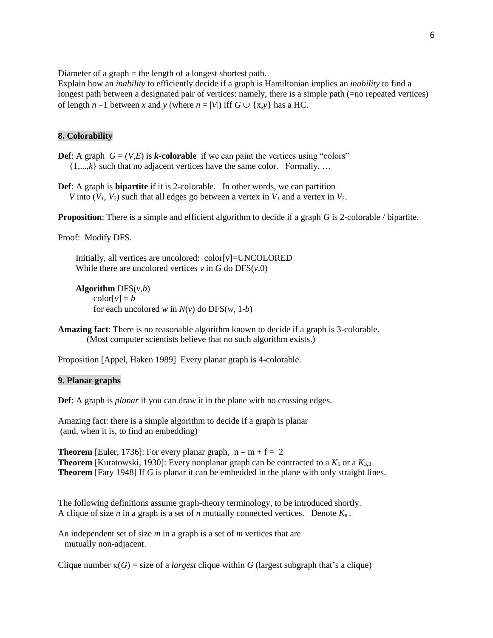Diameter of a graph = the length of a longest shortest path.

Explain how an *inability* to efficiently decide if a graph is Hamiltonian implies an *inability* to find a longest path between a designated pair of vertices: namely, there is a simple path (=no repeated vertices) of length  $n-1$  between x and y (where  $n = |V|$ ) iff  $G \cup \{x, y\}$  has a HC.

# **8. Colorability**

- **Def**: A graph  $G = (V,E)$  is *k***-colorable** if we can paint the vertices using "colors"  $\{1,...,k\}$  such that no adjacent vertices have the same color. Formally, ...
- **Def**: A graph is **bipartite** if it is 2-colorable. In other words, we can partition *V* into  $(V_1, V_2)$  such that all edges go between a vertex in  $V_1$  and a vertex in  $V_2$ .

**Proposition**: There is a simple and efficient algorithm to decide if a graph *G* is 2-colorable / bipartite.

Proof: Modify DFS.

 Initially, all vertices are uncolored: color[v]=UNCOLORED While there are uncolored vertices  $v$  in  $G$  do  $DFS(v, 0)$ 

```
 Algorithm DFS(v,b)
\text{color}[v] = bfor each uncolored w in N(v) do DFS(w, 1-b)
```
**Amazing fact**: There is no reasonable algorithm known to decide if a graph is 3-colorable. (Most computer scientists believe that no such algorithm exists.)

Proposition [Appel, Haken 1989] Every planar graph is 4-colorable.

#### **9. Planar graphs**

**Def**: A graph is *planar* if you can draw it in the plane with no crossing edges.

Amazing fact: there is a simple algorithm to decide if a graph is planar (and, when it is, to find an embedding)

**Theorem** [Euler, 1736]: For every planar graph,  $n - m + f = 2$ **Theorem** [Kuratowski, 1930]: Every nonplanar graph can be contracted to a  $K_5$  or a  $K_{3,3}$ **Theorem** [Fary 1948] If *G* is planar it can be embedded in the plane with only straight lines.

The following definitions assume graph-theory terminology, to be introduced shortly. A clique of size *n* in a graph is a set of *n* mutually connected vertices. Denote *Kn* .

An independent set of size *m* in a graph is a set of *m* vertices that are mutually non-adjacent.

Clique number  $\kappa(G)$  = size of a *largest* clique within *G* (largest subgraph that's a clique)